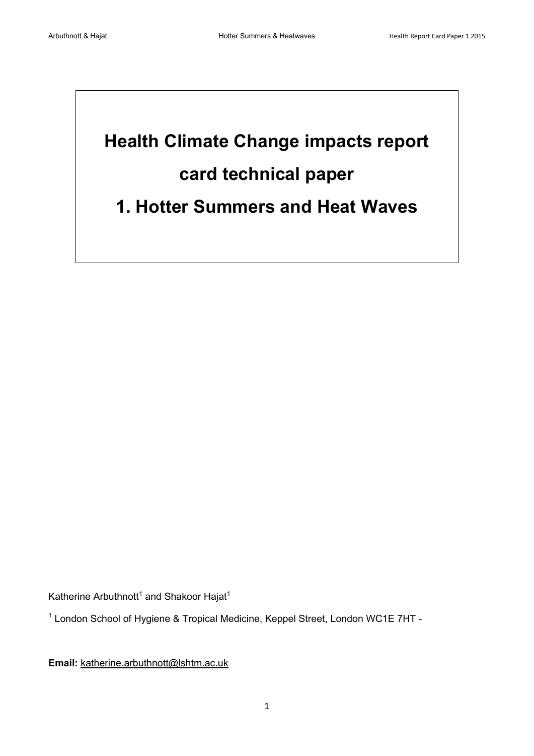# <span id="page-0-0"></span>**Health Climate Change impacts report card technical paper 1. Hotter Summers and Heat Waves**

Katherine Arbuthnott<sup>1</sup> and Shakoor Hajat<sup>1</sup>

<sup>1</sup> London School of Hygiene & Tropical Medicine, Keppel Street, London WC1E 7HT -

**Email:** [katherine.arbuthnott@lshtm.ac.uk](mailto:katherine.arbuthnott@lshtm.ac.uk)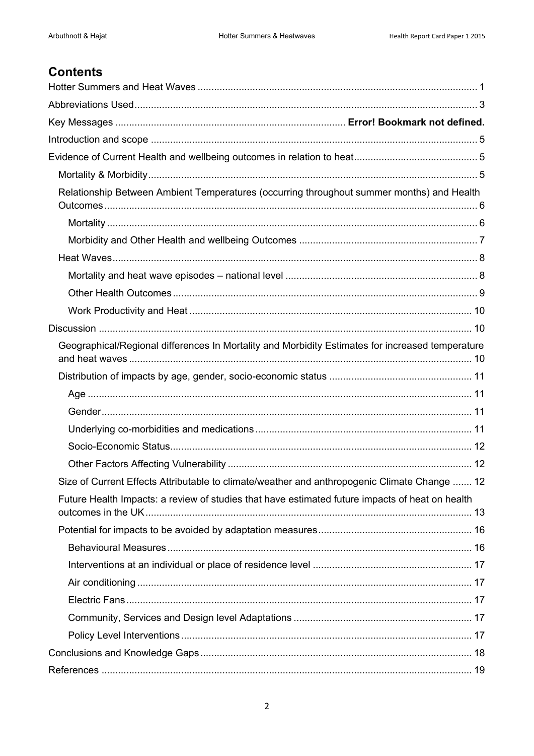# **Contents**

| Relationship Between Ambient Temperatures (occurring throughout summer months) and Health        |  |
|--------------------------------------------------------------------------------------------------|--|
|                                                                                                  |  |
|                                                                                                  |  |
|                                                                                                  |  |
|                                                                                                  |  |
|                                                                                                  |  |
|                                                                                                  |  |
|                                                                                                  |  |
| Geographical/Regional differences In Mortality and Morbidity Estimates for increased temperature |  |
|                                                                                                  |  |
|                                                                                                  |  |
|                                                                                                  |  |
|                                                                                                  |  |
|                                                                                                  |  |
|                                                                                                  |  |
| Size of Current Effects Attributable to climate/weather and anthropogenic Climate Change  12     |  |
| Future Health Impacts: a review of studies that have estimated future impacts of heat on health  |  |
|                                                                                                  |  |
|                                                                                                  |  |
|                                                                                                  |  |
|                                                                                                  |  |
|                                                                                                  |  |
|                                                                                                  |  |
|                                                                                                  |  |
|                                                                                                  |  |
|                                                                                                  |  |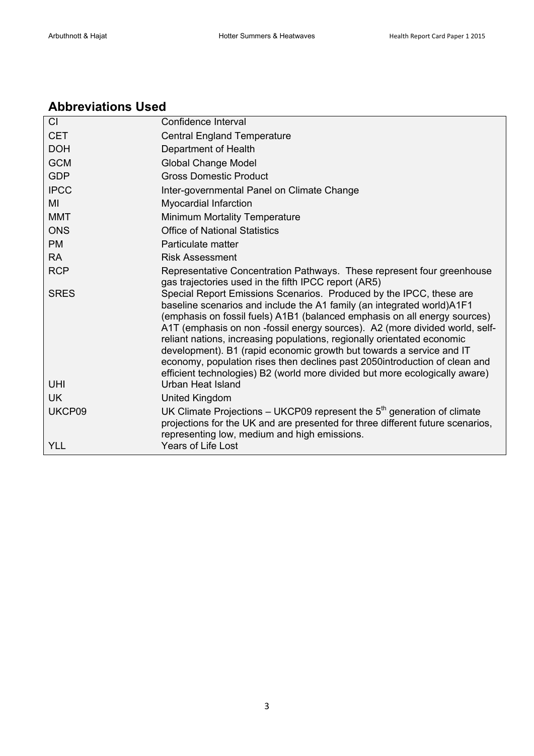# <span id="page-2-0"></span>**Abbreviations Used**

| <b>CI</b>          | Confidence Interval                                                                                                                                                                                                                                                                                                                                                                                                                                                                                                                                                                                                                                    |  |  |  |  |
|--------------------|--------------------------------------------------------------------------------------------------------------------------------------------------------------------------------------------------------------------------------------------------------------------------------------------------------------------------------------------------------------------------------------------------------------------------------------------------------------------------------------------------------------------------------------------------------------------------------------------------------------------------------------------------------|--|--|--|--|
| <b>CET</b>         | <b>Central England Temperature</b>                                                                                                                                                                                                                                                                                                                                                                                                                                                                                                                                                                                                                     |  |  |  |  |
| <b>DOH</b>         | Department of Health                                                                                                                                                                                                                                                                                                                                                                                                                                                                                                                                                                                                                                   |  |  |  |  |
| <b>GCM</b>         | <b>Global Change Model</b>                                                                                                                                                                                                                                                                                                                                                                                                                                                                                                                                                                                                                             |  |  |  |  |
| <b>GDP</b>         | <b>Gross Domestic Product</b>                                                                                                                                                                                                                                                                                                                                                                                                                                                                                                                                                                                                                          |  |  |  |  |
| <b>IPCC</b>        | Inter-governmental Panel on Climate Change                                                                                                                                                                                                                                                                                                                                                                                                                                                                                                                                                                                                             |  |  |  |  |
| MI                 | <b>Myocardial Infarction</b>                                                                                                                                                                                                                                                                                                                                                                                                                                                                                                                                                                                                                           |  |  |  |  |
| <b>MMT</b>         | Minimum Mortality Temperature                                                                                                                                                                                                                                                                                                                                                                                                                                                                                                                                                                                                                          |  |  |  |  |
| <b>ONS</b>         | <b>Office of National Statistics</b>                                                                                                                                                                                                                                                                                                                                                                                                                                                                                                                                                                                                                   |  |  |  |  |
| <b>PM</b>          | Particulate matter                                                                                                                                                                                                                                                                                                                                                                                                                                                                                                                                                                                                                                     |  |  |  |  |
| <b>RA</b>          | <b>Risk Assessment</b>                                                                                                                                                                                                                                                                                                                                                                                                                                                                                                                                                                                                                                 |  |  |  |  |
| <b>RCP</b>         | Representative Concentration Pathways. These represent four greenhouse<br>gas trajectories used in the fifth IPCC report (AR5)                                                                                                                                                                                                                                                                                                                                                                                                                                                                                                                         |  |  |  |  |
| <b>SRES</b><br>UHI | Special Report Emissions Scenarios. Produced by the IPCC, these are<br>baseline scenarios and include the A1 family (an integrated world) A1F1<br>(emphasis on fossil fuels) A1B1 (balanced emphasis on all energy sources)<br>A1T (emphasis on non -fossil energy sources). A2 (more divided world, self-<br>reliant nations, increasing populations, regionally orientated economic<br>development). B1 (rapid economic growth but towards a service and IT<br>economy, population rises then declines past 2050introduction of clean and<br>efficient technologies) B2 (world more divided but more ecologically aware)<br><b>Urban Heat Island</b> |  |  |  |  |
| <b>UK</b>          | United Kingdom                                                                                                                                                                                                                                                                                                                                                                                                                                                                                                                                                                                                                                         |  |  |  |  |
| UKCP09             | UK Climate Projections – UKCP09 represent the $5th$ generation of climate                                                                                                                                                                                                                                                                                                                                                                                                                                                                                                                                                                              |  |  |  |  |
|                    | projections for the UK and are presented for three different future scenarios,<br>representing low, medium and high emissions.                                                                                                                                                                                                                                                                                                                                                                                                                                                                                                                         |  |  |  |  |
| <b>YLL</b>         | <b>Years of Life Lost</b>                                                                                                                                                                                                                                                                                                                                                                                                                                                                                                                                                                                                                              |  |  |  |  |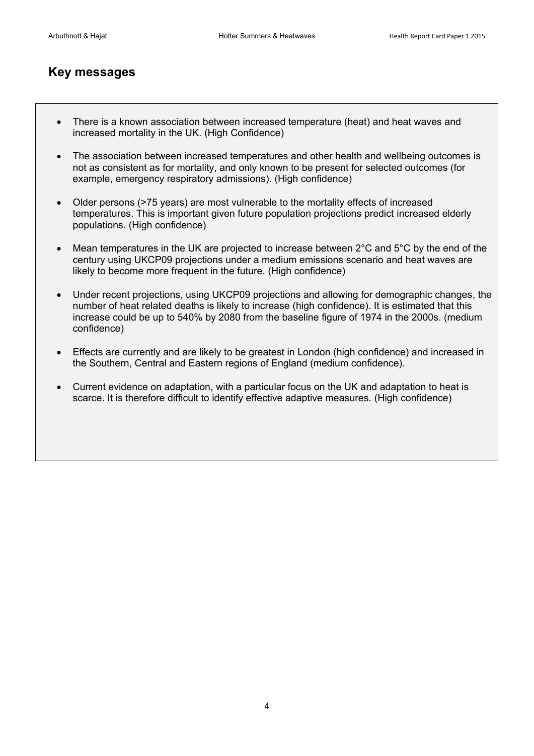# **Key messages**

- There is a known association between increased temperature (heat) and heat waves and increased mortality in the UK. (High Confidence)
- The association between increased temperatures and other health and wellbeing outcomes is not as consistent as for mortality, and only known to be present for selected outcomes (for example, emergency respiratory admissions). (High confidence)
- Older persons (>75 years) are most vulnerable to the mortality effects of increased temperatures. This is important given future population projections predict increased elderly populations. (High confidence)
- Mean temperatures in the UK are projected to increase between 2°C and 5°C by the end of the century using UKCP09 projections under a medium emissions scenario and heat waves are likely to become more frequent in the future. (High confidence)
- Under recent projections, using UKCP09 projections and allowing for demographic changes, the number of heat related deaths is likely to increase (high confidence). It is estimated that this increase could be up to 540% by 2080 from the baseline figure of 1974 in the 2000s. (medium confidence)
- Effects are currently and are likely to be greatest in London (high confidence) and increased in the Southern, Central and Eastern regions of England (medium confidence).
- Current evidence on adaptation, with a particular focus on the UK and adaptation to heat is scarce. It is therefore difficult to identify effective adaptive measures. (High confidence)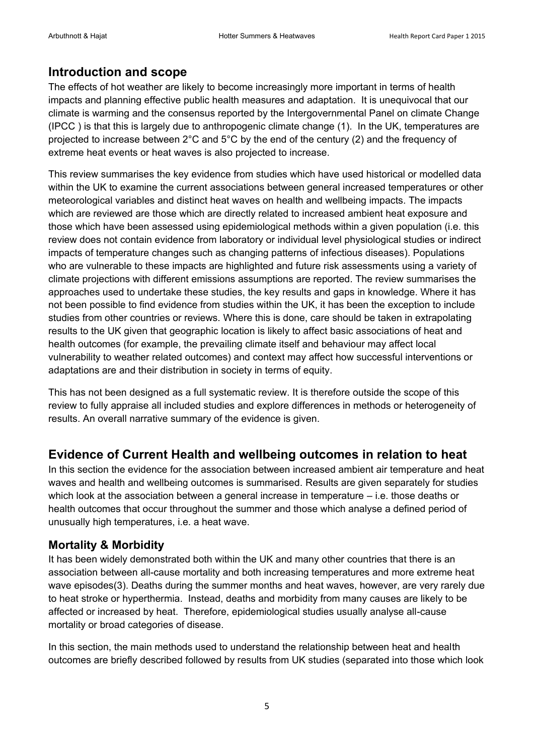## <span id="page-4-0"></span>**Introduction and scope**

The effects of hot weather are likely to become increasingly more important in terms of health impacts and planning effective public health measures and adaptation. It is unequivocal that our climate is warming and the consensus reported by the Intergovernmental Panel on climate Change (IPCC ) is that this is largely due to anthropogenic climate change [\(1\)](#page-18-1). In the UK, temperatures are projected to increase between 2°C and 5°C by the end of the century [\(2\)](#page-18-2) and the frequency of extreme heat events or heat waves is also projected to increase.

This review summarises the key evidence from studies which have used historical or modelled data within the UK to examine the current associations between general increased temperatures or other meteorological variables and distinct heat waves on health and wellbeing impacts. The impacts which are reviewed are those which are directly related to increased ambient heat exposure and those which have been assessed using epidemiological methods within a given population (i.e. this review does not contain evidence from laboratory or individual level physiological studies or indirect impacts of temperature changes such as changing patterns of infectious diseases). Populations who are vulnerable to these impacts are highlighted and future risk assessments using a variety of climate projections with different emissions assumptions are reported. The review summarises the approaches used to undertake these studies, the key results and gaps in knowledge. Where it has not been possible to find evidence from studies within the UK, it has been the exception to include studies from other countries or reviews. Where this is done, care should be taken in extrapolating results to the UK given that geographic location is likely to affect basic associations of heat and health outcomes (for example, the prevailing climate itself and behaviour may affect local vulnerability to weather related outcomes) and context may affect how successful interventions or adaptations are and their distribution in society in terms of equity.

This has not been designed as a full systematic review. It is therefore outside the scope of this review to fully appraise all included studies and explore differences in methods or heterogeneity of results. An overall narrative summary of the evidence is given.

## <span id="page-4-1"></span>**Evidence of Current Health and wellbeing outcomes in relation to heat**

In this section the evidence for the association between increased ambient air temperature and heat waves and health and wellbeing outcomes is summarised. Results are given separately for studies which look at the association between a general increase in temperature – i.e. those deaths or health outcomes that occur throughout the summer and those which analyse a defined period of unusually high temperatures, i.e. a heat wave.

#### <span id="page-4-2"></span>**Mortality & Morbidity**

It has been widely demonstrated both within the UK and many other countries that there is an association between all-cause mortality and both increasing temperatures and more extreme heat wave episodes[\(3\)](#page-18-3). Deaths during the summer months and heat waves, however, are very rarely due to heat stroke or hyperthermia. Instead, deaths and morbidity from many causes are likely to be affected or increased by heat. Therefore, epidemiological studies usually analyse all-cause mortality or broad categories of disease.

In this section, the main methods used to understand the relationship between heat and health outcomes are briefly described followed by results from UK studies (separated into those which look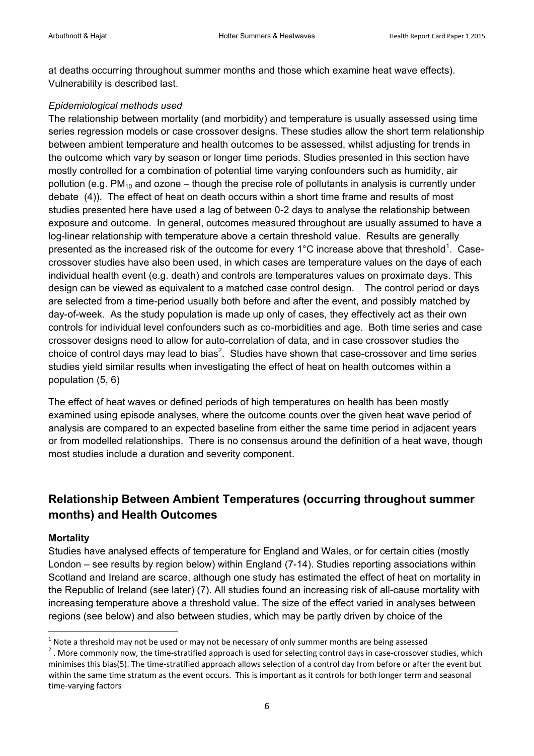at deaths occurring throughout summer months and those which examine heat wave effects). Vulnerability is described last.

#### *Epidemiological methods used*

The relationship between mortality (and morbidity) and temperature is usually assessed using time series regression models or case crossover designs. These studies allow the short term relationship between ambient temperature and health outcomes to be assessed, whilst adjusting for trends in the outcome which vary by season or longer time periods. Studies presented in this section have mostly controlled for a combination of potential time varying confounders such as humidity, air pollution (e.g.  $PM_{10}$  and ozone – though the precise role of pollutants in analysis is currently under debate [\(4\)](#page-18-4)). The effect of heat on death occurs within a short time frame and results of most studies presented here have used a lag of between 0-2 days to analyse the relationship between exposure and outcome. In general, outcomes measured throughout are usually assumed to have a log-linear relationship with temperature above a certain threshold value. Results are generally presented as the increased risk of the outcome for every 1°C increase above that threshold<sup>1</sup>. Casecrossover studies have also been used, in which cases are temperature values on the days of each individual health event (e.g. death) and controls are temperatures values on proximate days. This design can be viewed as equivalent to a matched case control design. The control period or days are selected from a time-period usually both before and after the event, and possibly matched by day-of-week. As the study population is made up only of cases, they effectively act as their own controls for individual level confounders such as co-morbidities and age. Both time series and case crossover designs need to allow for auto-correlation of data, and in case crossover studies the choice of control days may lead to bias<sup>2</sup>. Studies have shown that case-crossover and time series studies yield similar results when investigating the effect of heat on health outcomes within a population [\(5,](#page-18-5) [6\)](#page-18-6)

The effect of heat waves or defined periods of high temperatures on health has been mostly examined using episode analyses, where the outcome counts over the given heat wave period of analysis are compared to an expected baseline from either the same time period in adjacent years or from modelled relationships. There is no consensus around the definition of a heat wave, though most studies include a duration and severity component.

## <span id="page-5-0"></span>**Relationship Between Ambient Temperatures (occurring throughout summer months) and Health Outcomes**

#### <span id="page-5-1"></span>**Mortality**

**.** 

Studies have analysed effects of temperature for England and Wales, or for certain cities (mostly London – see results by region below) within England [\(7-14\)](#page-18-7). Studies reporting associations within Scotland and Ireland are scarce, although one study has estimated the effect of heat on mortality in the Republic of Ireland (see later) [\(7\)](#page-18-7). All studies found an increasing risk of all-cause mortality with increasing temperature above a threshold value. The size of the effect varied in analyses between regions (see below) and also between studies, which may be partly driven by choice of the

 $<sup>1</sup>$  Note a threshold may not be used or may not be necessary of only summer months are being assessed</sup>

 $2$ . More commonly now, the time-stratified approach is used for selecting control days in case-crossover studies, which minimises this bias(5). The time-stratified approach allows selection of a control day from before or after the event but within the same time stratum as the event occurs. This is important as it controls for both longer term and seasonal time-varying factors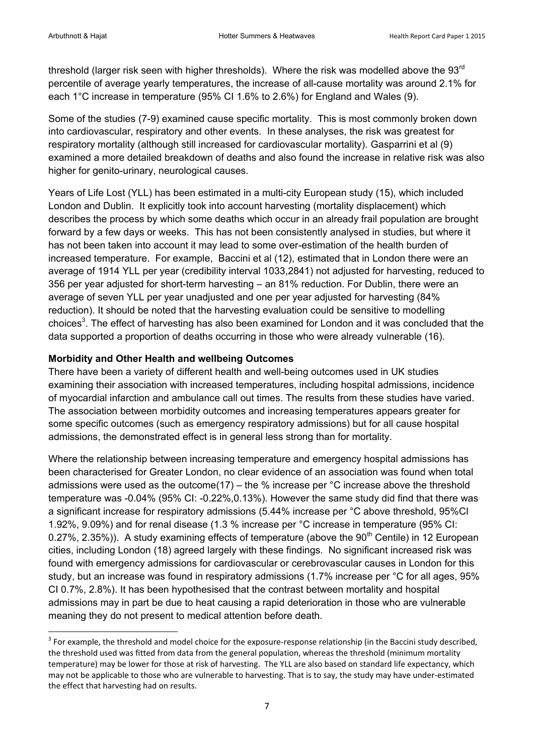**.** 

threshold (larger risk seen with higher thresholds). Where the risk was modelled above the 93<sup>rd</sup> percentile of average yearly temperatures, the increase of all-cause mortality was around 2.1% for each 1°C increase in temperature (95% CI 1.6% to 2.6%) for England and Wales [\(9\)](#page-18-8).

Some of the studies [\(7-9\)](#page-18-7) examined cause specific mortality. This is most commonly broken down into cardiovascular, respiratory and other events. In these analyses, the risk was greatest for respiratory mortality (although still increased for cardiovascular mortality). Gasparrini et al [\(9\)](#page-18-8) examined a more detailed breakdown of deaths and also found the increase in relative risk was also higher for genito-urinary, neurological causes.

Years of Life Lost (YLL) has been estimated in a multi-city European study [\(15\)](#page-18-9), which included London and Dublin. It explicitly took into account harvesting (mortality displacement) which describes the process by which some deaths which occur in an already frail population are brought forward by a few days or weeks. This has not been consistently analysed in studies, but where it has not been taken into account it may lead to some over-estimation of the health burden of increased temperature. For example, Baccini et al [\(12\)](#page-18-10), estimated that in London there were an average of 1914 YLL per year (credibility interval 1033,2841) not adjusted for harvesting, reduced to 356 per year adjusted for short-term harvesting – an 81% reduction. For Dublin, there were an average of seven YLL per year unadjusted and one per year adjusted for harvesting (84% reduction). It should be noted that the harvesting evaluation could be sensitive to modelling choices<sup>3</sup>. The effect of harvesting has also been examined for London and it was concluded that the data supported a proportion of deaths occurring in those who were already vulnerable [\(16\)](#page-18-11).

#### <span id="page-6-0"></span>**Morbidity and Other Health and wellbeing Outcomes**

There have been a variety of different health and well-being outcomes used in UK studies examining their association with increased temperatures, including hospital admissions, incidence of myocardial infarction and ambulance call out times. The results from these studies have varied. The association between morbidity outcomes and increasing temperatures appears greater for some specific outcomes (such as emergency respiratory admissions) but for all cause hospital admissions, the demonstrated effect is in general less strong than for mortality.

Where the relationship between increasing temperature and emergency hospital admissions has been characterised for Greater London, no clear evidence of an association was found when total admissions were used as the outcome[\(17\)](#page-18-12) – the % increase per °C increase above the threshold temperature was -0.04% (95% CI: -0.22%,0.13%). However the same study did find that there was a significant increase for respiratory admissions (5.44% increase per °C above threshold, 95%CI 1.92%, 9.09%) and for renal disease (1.3 % increase per °C increase in temperature (95% CI: 0.27%, 2.35%)). A study examining effects of temperature (above the  $90<sup>th</sup>$  Centile) in 12 European cities, including London [\(18\)](#page-18-13) agreed largely with these findings. No significant increased risk was found with emergency admissions for cardiovascular or cerebrovascular causes in London for this study, but an increase was found in respiratory admissions (1.7% increase per °C for all ages, 95% CI 0.7%, 2.8%). It has been hypothesised that the contrast between mortality and hospital admissions may in part be due to heat causing a rapid deterioration in those who are vulnerable meaning they do not present to medical attention before death.

 $3$  For example, the threshold and model choice for the exposure-response relationship (in the Baccini study described, the threshold used was fitted from data from the general population, whereas the threshold (minimum mortality temperature) may be lower for those at risk of harvesting. The YLL are also based on standard life expectancy, which may not be applicable to those who are vulnerable to harvesting. That is to say, the study may have under-estimated the effect that harvesting had on results.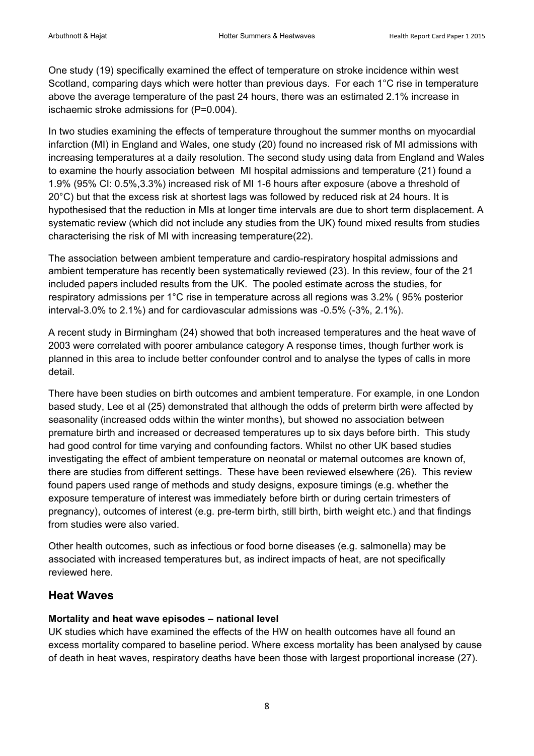One study [\(19\)](#page-18-14) specifically examined the effect of temperature on stroke incidence within west Scotland, comparing days which were hotter than previous days. For each 1°C rise in temperature above the average temperature of the past 24 hours, there was an estimated 2.1% increase in ischaemic stroke admissions for (P=0.004).

In two studies examining the effects of temperature throughout the summer months on myocardial infarction (MI) in England and Wales, one study [\(20\)](#page-18-15) found no increased risk of MI admissions with increasing temperatures at a daily resolution. The second study using data from England and Wales to examine the hourly association between MI hospital admissions and temperature [\(21\)](#page-18-16) found a 1.9% (95% CI: 0.5%,3.3%) increased risk of MI 1-6 hours after exposure (above a threshold of 20°C) but that the excess risk at shortest lags was followed by reduced risk at 24 hours. It is hypothesised that the reduction in MIs at longer time intervals are due to short term displacement. A systematic review (which did not include any studies from the UK) found mixed results from studies characterising the risk of MI with increasing temperature[\(22\)](#page-19-0).

The association between ambient temperature and cardio-respiratory hospital admissions and ambient temperature has recently been systematically reviewed [\(23\)](#page-19-1). In this review, four of the 21 included papers included results from the UK. The pooled estimate across the studies, for respiratory admissions per 1°C rise in temperature across all regions was 3.2% ( 95% posterior interval-3.0% to 2.1%) and for cardiovascular admissions was -0.5% (-3%, 2.1%).

A recent study in Birmingham [\(24\)](#page-19-2) showed that both increased temperatures and the heat wave of 2003 were correlated with poorer ambulance category A response times, though further work is planned in this area to include better confounder control and to analyse the types of calls in more detail.

There have been studies on birth outcomes and ambient temperature. For example, in one London based study, Lee et al [\(25\)](#page-19-3) demonstrated that although the odds of preterm birth were affected by seasonality (increased odds within the winter months), but showed no association between premature birth and increased or decreased temperatures up to six days before birth. This study had good control for time varying and confounding factors. Whilst no other UK based studies investigating the effect of ambient temperature on neonatal or maternal outcomes are known of, there are studies from different settings. These have been reviewed elsewhere [\(26\)](#page-19-4). This review found papers used range of methods and study designs, exposure timings (e.g. whether the exposure temperature of interest was immediately before birth or during certain trimesters of pregnancy), outcomes of interest (e.g. pre-term birth, still birth, birth weight etc.) and that findings from studies were also varied.

Other health outcomes, such as infectious or food borne diseases (e.g. salmonella) may be associated with increased temperatures but, as indirect impacts of heat, are not specifically reviewed here.

## <span id="page-7-0"></span>**Heat Waves**

#### <span id="page-7-1"></span>**Mortality and heat wave episodes – national level**

UK studies which have examined the effects of the HW on health outcomes have all found an excess mortality compared to baseline period. Where excess mortality has been analysed by cause of death in heat waves, respiratory deaths have been those with largest proportional increase [\(27\)](#page-19-5).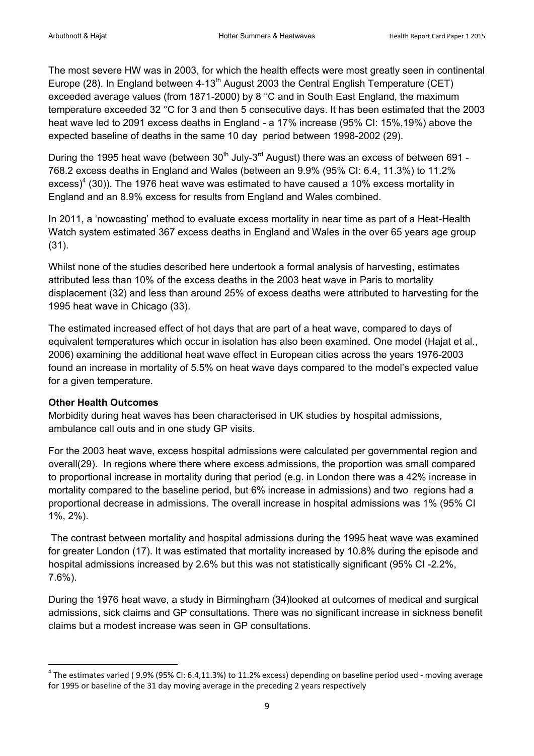The most severe HW was in 2003, for which the health effects were most greatly seen in continental Europe [\(28\)](#page-19-6). In England between 4-13<sup>th</sup> August 2003 the Central English Temperature (CET) exceeded average values (from 1871-2000) by 8 °C and in South East England, the maximum temperature exceeded 32 °C for 3 and then 5 consecutive days. It has been estimated that the 2003 heat wave led to 2091 excess deaths in England - a 17% increase (95% CI: 15%,19%) above the expected baseline of deaths in the same 10 day period between 1998-2002 [\(29\)](#page-19-7).

During the 1995 heat wave (between  $30<sup>th</sup>$  July-3<sup>rd</sup> August) there was an excess of between 691 -768.2 excess deaths in England and Wales (between an 9.9% (95% CI: 6.4, 11.3%) to 11.2%  $excess$ <sup>4</sup> [\(30\)](#page-19-8)). The 1976 heat wave was estimated to have caused a 10% excess mortality in England and an 8.9% excess for results from England and Wales combined.

In 2011, a 'nowcasting' method to evaluate excess mortality in near time as part of a Heat-Health Watch system estimated 367 excess deaths in England and Wales in the over 65 years age group [\(31\)](#page-19-9).

Whilst none of the studies described here undertook a formal analysis of harvesting, estimates attributed less than 10% of the excess deaths in the 2003 heat wave in Paris to mortality displacement [\(32\)](#page-19-10) and less than around 25% of excess deaths were attributed to harvesting for the 1995 heat wave in Chicago [\(33\)](#page-19-11).

The estimated increased effect of hot days that are part of a heat wave, compared to days of equivalent temperatures which occur in isolation has also been examined. One model (Hajat et al., 2006) examining the additional heat wave effect in European cities across the years 1976-2003 found an increase in mortality of 5.5% on heat wave days compared to the model's expected value for a given temperature.

#### <span id="page-8-0"></span>**Other Health Outcomes**

 $\overline{a}$ 

Morbidity during heat waves has been characterised in UK studies by hospital admissions, ambulance call outs and in one study GP visits.

For the 2003 heat wave, excess hospital admissions were calculated per governmental region and overall[\(29\)](#page-19-7). In regions where there where excess admissions, the proportion was small compared to proportional increase in mortality during that period (e.g. in London there was a 42% increase in mortality compared to the baseline period, but 6% increase in admissions) and two regions had a proportional decrease in admissions. The overall increase in hospital admissions was 1% (95% CI 1%, 2%).

The contrast between mortality and hospital admissions during the 1995 heat wave was examined for greater London [\(17\)](#page-18-12). It was estimated that mortality increased by 10.8% during the episode and hospital admissions increased by 2.6% but this was not statistically significant (95% CI -2.2%, 7.6%).

During the 1976 heat wave, a study in Birmingham [\(34\)](#page-19-12)looked at outcomes of medical and surgical admissions, sick claims and GP consultations. There was no significant increase in sickness benefit claims but a modest increase was seen in GP consultations.

 $^4$  The estimates varied (9.9% (95% CI: 6.4,11.3%) to 11.2% excess) depending on baseline period used - moving average for 1995 or baseline of the 31 day moving average in the preceding 2 years respectively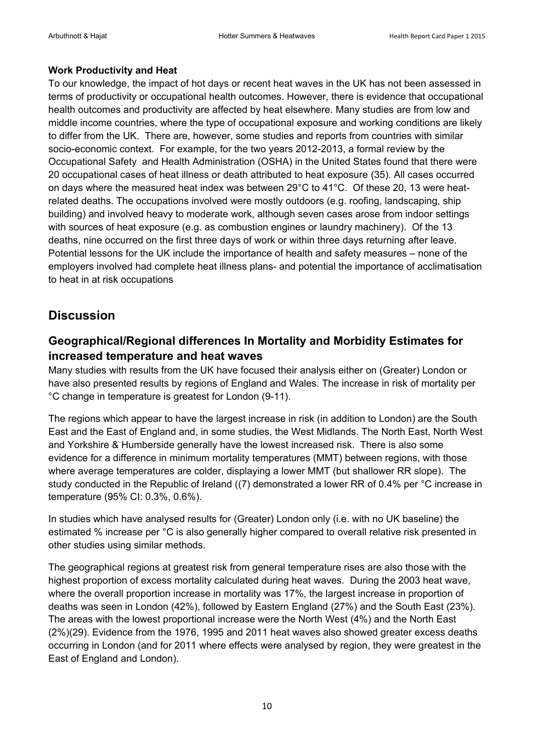#### <span id="page-9-0"></span>**Work Productivity and Heat**

To our knowledge, the impact of hot days or recent heat waves in the UK has not been assessed in terms of productivity or occupational health outcomes. However, there is evidence that occupational health outcomes and productivity are affected by heat elsewhere. Many studies are from low and middle income countries, where the type of occupational exposure and working conditions are likely to differ from the UK. There are, however, some studies and reports from countries with similar socio-economic context. For example, for the two years 2012-2013, a formal review by the Occupational Safety and Health Administration (OSHA) in the United States found that there were 20 occupational cases of heat illness or death attributed to heat exposure [\(35\)](#page-19-13). All cases occurred on days where the measured heat index was between 29°C to 41°C. Of these 20, 13 were heatrelated deaths. The occupations involved were mostly outdoors (e.g. roofing, landscaping, ship building) and involved heavy to moderate work, although seven cases arose from indoor settings with sources of heat exposure (e.g. as combustion engines or laundry machinery). Of the 13 deaths, nine occurred on the first three days of work or within three days returning after leave. Potential lessons for the UK include the importance of health and safety measures – none of the employers involved had complete heat illness plans- and potential the importance of acclimatisation to heat in at risk occupations

# <span id="page-9-1"></span>**Discussion**

## <span id="page-9-2"></span>**Geographical/Regional differences In Mortality and Morbidity Estimates for increased temperature and heat waves**

Many studies with results from the UK have focused their analysis either on (Greater) London or have also presented results by regions of England and Wales. The increase in risk of mortality per °C change in temperature is greatest for London [\(9-11\)](#page-18-8).

The regions which appear to have the largest increase in risk (in addition to London) are the South East and the East of England and, in some studies, the West Midlands. The North East, North West and Yorkshire & Humberside generally have the lowest increased risk. There is also some evidence for a difference in minimum mortality temperatures (MMT) between regions, with those where average temperatures are colder, displaying a lower MMT (but shallower RR slope). The study conducted in the Republic of Ireland ([\(7\)](#page-18-7) demonstrated a lower RR of 0.4% per °C increase in temperature (95% CI: 0.3%, 0.6%).

In studies which have analysed results for (Greater) London only (i.e. with no UK baseline) the estimated % increase per °C is also generally higher compared to overall relative risk presented in other studies using similar methods.

The geographical regions at greatest risk from general temperature rises are also those with the highest proportion of excess mortality calculated during heat waves. During the 2003 heat wave, where the overall proportion increase in mortality was 17%, the largest increase in proportion of deaths was seen in London (42%), followed by Eastern England (27%) and the South East (23%). The areas with the lowest proportional increase were the North West (4%) and the North East (2%)[\(29\)](#page-19-7). Evidence from the 1976, 1995 and 2011 heat waves also showed greater excess deaths occurring in London (and for 2011 where effects were analysed by region, they were greatest in the East of England and London).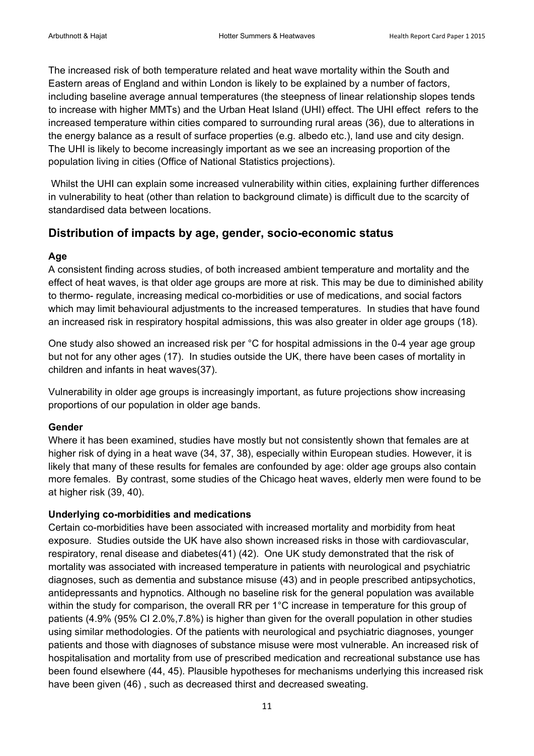The increased risk of both temperature related and heat wave mortality within the South and Eastern areas of England and within London is likely to be explained by a number of factors, including baseline average annual temperatures (the steepness of linear relationship slopes tends to increase with higher MMTs) and the Urban Heat Island (UHI) effect. The UHI effect refers to the increased temperature within cities compared to surrounding rural areas [\(36\)](#page-19-14), due to alterations in the energy balance as a result of surface properties (e.g. albedo etc.), land use and city design. The UHI is likely to become increasingly important as we see an increasing proportion of the population living in cities (Office of National Statistics projections).

Whilst the UHI can explain some increased vulnerability within cities, explaining further differences in vulnerability to heat (other than relation to background climate) is difficult due to the scarcity of standardised data between locations.

## <span id="page-10-0"></span>**Distribution of impacts by age, gender, socio-economic status**

#### <span id="page-10-1"></span>**Age**

A consistent finding across studies, of both increased ambient temperature and mortality and the effect of heat waves, is that older age groups are more at risk. This may be due to diminished ability to thermo- regulate, increasing medical co-morbidities or use of medications, and social factors which may limit behavioural adjustments to the increased temperatures. In studies that have found an increased risk in respiratory hospital admissions, this was also greater in older age groups [\(18\)](#page-18-13).

One study also showed an increased risk per °C for hospital admissions in the 0-4 year age group but not for any other ages [\(17\)](#page-18-12). In studies outside the UK, there have been cases of mortality in children and infants in heat waves[\(37\)](#page-19-15).

Vulnerability in older age groups is increasingly important, as future projections show increasing proportions of our population in older age bands.

#### <span id="page-10-2"></span>**Gender**

Where it has been examined, studies have mostly but not consistently shown that females are at higher risk of dying in a heat wave [\(34,](#page-19-12) [37,](#page-19-15) [38\)](#page-19-16), especially within European studies. However, it is likely that many of these results for females are confounded by age: older age groups also contain more females. By contrast, some studies of the Chicago heat waves, elderly men were found to be at higher risk [\(39,](#page-19-17) [40\)](#page-19-18).

#### <span id="page-10-3"></span>**Underlying co-morbidities and medications**

Certain co-morbidities have been associated with increased mortality and morbidity from heat exposure. Studies outside the UK have also shown increased risks in those with cardiovascular, respiratory, renal disease and diabetes[\(41\)](#page-19-19) [\(42\)](#page-19-20). One UK study demonstrated that the risk of mortality was associated with increased temperature in patients with neurological and psychiatric diagnoses, such as dementia and substance misuse [\(43\)](#page-19-21) and in people prescribed antipsychotics, antidepressants and hypnotics. Although no baseline risk for the general population was available within the study for comparison, the overall RR per 1°C increase in temperature for this group of patients (4.9% (95% CI 2.0%,7.8%) is higher than given for the overall population in other studies using similar methodologies. Of the patients with neurological and psychiatric diagnoses, younger patients and those with diagnoses of substance misuse were most vulnerable. An increased risk of hospitalisation and mortality from use of prescribed medication and recreational substance use has been found elsewhere [\(44,](#page-19-22) [45\)](#page-20-0). Plausible hypotheses for mechanisms underlying this increased risk have been given [\(46\)](#page-20-1) , such as decreased thirst and decreased sweating.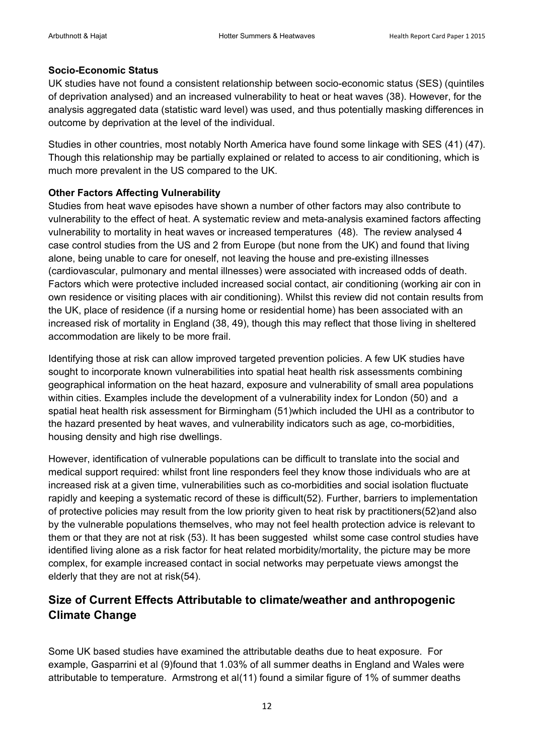#### <span id="page-11-0"></span>**Socio-Economic Status**

UK studies have not found a consistent relationship between socio-economic status (SES) (quintiles of deprivation analysed) and an increased vulnerability to heat or heat waves [\(38\)](#page-19-16). However, for the analysis aggregated data (statistic ward level) was used, and thus potentially masking differences in outcome by deprivation at the level of the individual.

Studies in other countries, most notably North America have found some linkage with SES [\(41\)](#page-19-19) [\(47\)](#page-20-2). Though this relationship may be partially explained or related to access to air conditioning, which is much more prevalent in the US compared to the UK.

#### <span id="page-11-1"></span>**Other Factors Affecting Vulnerability**

Studies from heat wave episodes have shown a number of other factors may also contribute to vulnerability to the effect of heat. A systematic review and meta-analysis examined factors affecting vulnerability to mortality in heat waves or increased temperatures [\(48\)](#page-20-3). The review analysed 4 case control studies from the US and 2 from Europe (but none from the UK) and found that living alone, being unable to care for oneself, not leaving the house and pre-existing illnesses (cardiovascular, pulmonary and mental illnesses) were associated with increased odds of death. Factors which were protective included increased social contact, air conditioning (working air con in own residence or visiting places with air conditioning). Whilst this review did not contain results from the UK, place of residence (if a nursing home or residential home) has been associated with an increased risk of mortality in England [\(38,](#page-19-16) [49\)](#page-20-4), though this may reflect that those living in sheltered accommodation are likely to be more frail.

Identifying those at risk can allow improved targeted prevention policies. A few UK studies have sought to incorporate known vulnerabilities into spatial heat health risk assessments combining geographical information on the heat hazard, exposure and vulnerability of small area populations within cities. Examples include the development of a vulnerability index for London [\(50\)](#page-20-5) and a spatial heat health risk assessment for Birmingham [\(51\)](#page-20-6)which included the UHI as a contributor to the hazard presented by heat waves, and vulnerability indicators such as age, co-morbidities, housing density and high rise dwellings.

However, identification of vulnerable populations can be difficult to translate into the social and medical support required: whilst front line responders feel they know those individuals who are at increased risk at a given time, vulnerabilities such as co-morbidities and social isolation fluctuate rapidly and keeping a systematic record of these is difficult[\(52\)](#page-20-7). Further, barriers to implementation of protective policies may result from the low priority given to heat risk by practitioners[\(52\)](#page-20-7)and also by the vulnerable populations themselves, who may not feel health protection advice is relevant to them or that they are not at risk [\(53\)](#page-20-8). It has been suggested whilst some case control studies have identified living alone as a risk factor for heat related morbidity/mortality, the picture may be more complex, for example increased contact in social networks may perpetuate views amongst the elderly that they are not at risk[\(54\)](#page-20-9).

# <span id="page-11-2"></span>**Size of Current Effects Attributable to climate/weather and anthropogenic Climate Change**

Some UK based studies have examined the attributable deaths due to heat exposure. For example, Gasparrini et al [\(9\)](#page-18-8)found that 1.03% of all summer deaths in England and Wales were attributable to temperature. Armstrong et al[\(11\)](#page-18-17) found a similar figure of 1% of summer deaths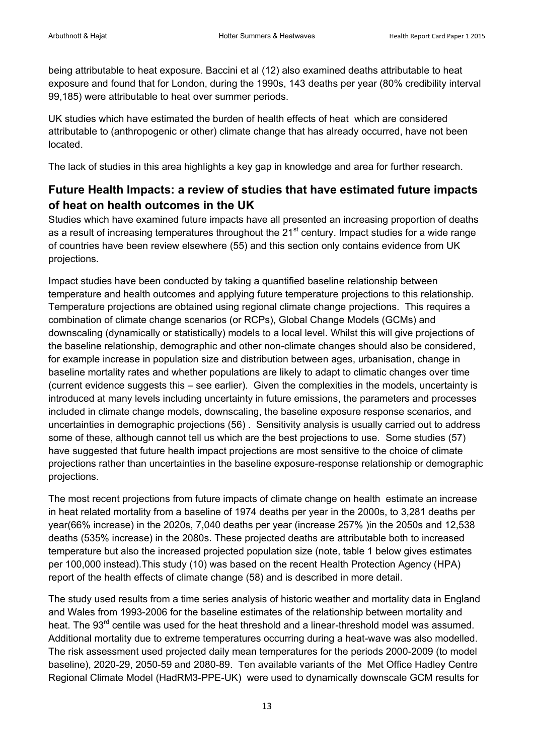being attributable to heat exposure. Baccini et al [\(12\)](#page-18-10) also examined deaths attributable to heat exposure and found that for London, during the 1990s, 143 deaths per year (80% credibility interval 99,185) were attributable to heat over summer periods.

UK studies which have estimated the burden of health effects of heat which are considered attributable to (anthropogenic or other) climate change that has already occurred, have not been located.

The lack of studies in this area highlights a key gap in knowledge and area for further research.

## <span id="page-12-0"></span>**Future Health Impacts: a review of studies that have estimated future impacts of heat on health outcomes in the UK**

Studies which have examined future impacts have all presented an increasing proportion of deaths as a result of increasing temperatures throughout the 21<sup>st</sup> century. Impact studies for a wide range of countries have been review elsewhere [\(55\)](#page-20-10) and this section only contains evidence from UK projections.

Impact studies have been conducted by taking a quantified baseline relationship between temperature and health outcomes and applying future temperature projections to this relationship. Temperature projections are obtained using regional climate change projections. This requires a combination of climate change scenarios (or RCPs), Global Change Models (GCMs) and downscaling (dynamically or statistically) models to a local level. Whilst this will give projections of the baseline relationship, demographic and other non-climate changes should also be considered, for example increase in population size and distribution between ages, urbanisation, change in baseline mortality rates and whether populations are likely to adapt to climatic changes over time (current evidence suggests this – see earlier). Given the complexities in the models, uncertainty is introduced at many levels including uncertainty in future emissions, the parameters and processes included in climate change models, downscaling, the baseline exposure response scenarios, and uncertainties in demographic projections [\(56\)](#page-20-11) . Sensitivity analysis is usually carried out to address some of these, although cannot tell us which are the best projections to use. Some studies [\(57\)](#page-20-12) have suggested that future health impact projections are most sensitive to the choice of climate projections rather than uncertainties in the baseline exposure-response relationship or demographic projections.

The most recent projections from future impacts of climate change on health estimate an increase in heat related mortality from a baseline of 1974 deaths per year in the 2000s, to 3,281 deaths per year(66% increase) in the 2020s, 7,040 deaths per year (increase 257% )in the 2050s and 12,538 deaths (535% increase) in the 2080s. These projected deaths are attributable both to increased temperature but also the increased projected population size (note, table 1 below gives estimates per 100,000 instead).This study [\(10\)](#page-18-18) was based on the recent Health Protection Agency (HPA) report of the health effects of climate change [\(58\)](#page-20-13) and is described in more detail.

The study used results from a time series analysis of historic weather and mortality data in England and Wales from 1993-2006 for the baseline estimates of the relationship between mortality and heat. The 93<sup>rd</sup> centile was used for the heat threshold and a linear-threshold model was assumed. Additional mortality due to extreme temperatures occurring during a heat-wave was also modelled. The risk assessment used projected daily mean temperatures for the periods 2000-2009 (to model baseline), 2020-29, 2050-59 and 2080-89. Ten available variants of the Met Office Hadley Centre Regional Climate Model (HadRM3-PPE-UK) were used to dynamically downscale GCM results for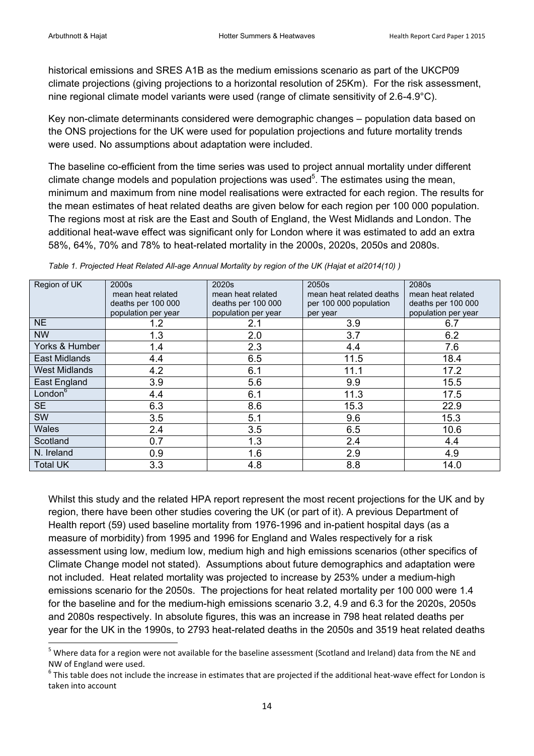1

historical emissions and SRES A1B as the medium emissions scenario as part of the UKCP09 climate projections (giving projections to a horizontal resolution of 25Km). For the risk assessment, nine regional climate model variants were used (range of climate sensitivity of 2.6-4.9°C).

Key non-climate determinants considered were demographic changes – population data based on the ONS projections for the UK were used for population projections and future mortality trends were used. No assumptions about adaptation were included.

The baseline co-efficient from the time series was used to project annual mortality under different climate change models and population projections was used $5$ . The estimates using the mean, minimum and maximum from nine model realisations were extracted for each region. The results for the mean estimates of heat related deaths are given below for each region per 100 000 population. The regions most at risk are the East and South of England, the West Midlands and London. The additional heat-wave effect was significant only for London where it was estimated to add an extra 58%, 64%, 70% and 78% to heat-related mortality in the 2000s, 2020s, 2050s and 2080s.

| Region of UK         | 2000s               | 2020s               | 2050s                    | 2080s               |
|----------------------|---------------------|---------------------|--------------------------|---------------------|
|                      | mean heat related   | mean heat related   | mean heat related deaths | mean heat related   |
|                      | deaths per 100 000  | deaths per 100 000  | per 100 000 population   | deaths per 100 000  |
|                      | population per year | population per year | per year                 | population per year |
| <b>NE</b>            | 1.2                 | 2.1                 | 3.9                      | 6.7                 |
| <b>NW</b>            | 1.3                 | 2.0                 | 3.7                      | 6.2                 |
| Yorks & Humber       | 1.4                 | 2.3                 | 4.4                      | 7.6                 |
| East Midlands        | 4.4                 | 6.5                 | 11.5                     | 18.4                |
| <b>West Midlands</b> | 4.2                 | 6.1                 | 11.1                     | 17.2                |
| East England         | 3.9                 | 5.6                 | 9.9                      | 15.5                |
| London <sup>6</sup>  | 4.4                 | 6.1                 | 11.3                     | 17.5                |
| <b>SE</b>            | 6.3                 | 8.6                 | 15.3                     | 22.9                |
| SW                   | 3.5                 | 5.1                 | 9.6                      | 15.3                |
| <b>Wales</b>         | 2.4                 | 3.5                 | 6.5                      | 10.6                |
| Scotland             | 0.7                 | 1.3                 | 2.4                      | 4.4                 |
| N. Ireland           | 0.9                 | 1.6                 | 2.9                      | 4.9                 |
| <b>Total UK</b>      | 3.3                 | 4.8                 | 8.8                      | 14.0                |

*Table 1. Projected Heat Related All-age Annual Mortality by region of the UK (Hajat et al2014[\(10\)](#page-18-18) )*

Whilst this study and the related HPA report represent the most recent projections for the UK and by region, there have been other studies covering the UK (or part of it). A previous Department of Health report [\(59\)](#page-20-14) used baseline mortality from 1976-1996 and in-patient hospital days (as a measure of morbidity) from 1995 and 1996 for England and Wales respectively for a risk assessment using low, medium low, medium high and high emissions scenarios (other specifics of Climate Change model not stated). Assumptions about future demographics and adaptation were not included. Heat related mortality was projected to increase by 253% under a medium-high emissions scenario for the 2050s. The projections for heat related mortality per 100 000 were 1.4 for the baseline and for the medium-high emissions scenario 3.2, 4.9 and 6.3 for the 2020s, 2050s and 2080s respectively. In absolute figures, this was an increase in 798 heat related deaths per year for the UK in the 1990s, to 2793 heat-related deaths in the 2050s and 3519 heat related deaths

<sup>&</sup>lt;sup>5</sup> Where data for a region were not available for the baseline assessment (Scotland and Ireland) data from the NE and NW of England were used.

 $^6$  This table does not include the increase in estimates that are projected if the additional heat-wave effect for London is taken into account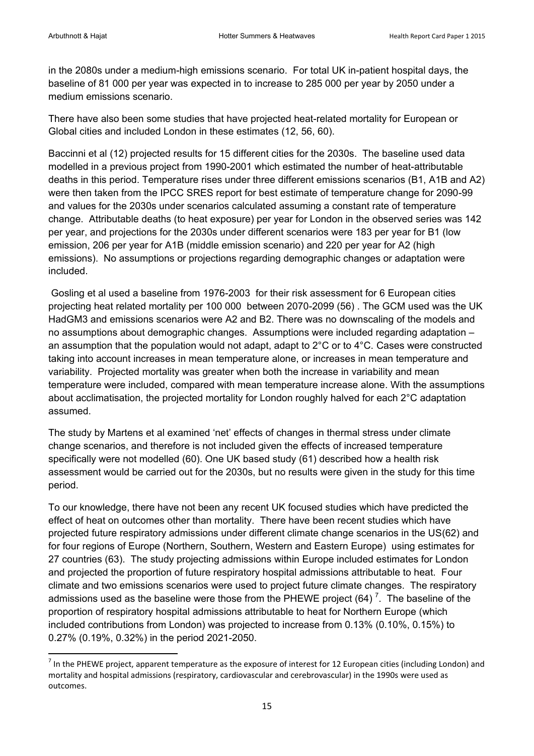**.** 

in the 2080s under a medium-high emissions scenario. For total UK in-patient hospital days, the baseline of 81 000 per year was expected in to increase to 285 000 per year by 2050 under a medium emissions scenario.

There have also been some studies that have projected heat-related mortality for European or Global cities and included London in these estimates [\(12,](#page-18-10) [56,](#page-20-11) [60\)](#page-20-15).

Baccinni et al [\(12\)](#page-18-10) projected results for 15 different cities for the 2030s. The baseline used data modelled in a previous project from 1990-2001 which estimated the number of heat-attributable deaths in this period. Temperature rises under three different emissions scenarios (B1, A1B and A2) were then taken from the IPCC SRES report for best estimate of temperature change for 2090-99 and values for the 2030s under scenarios calculated assuming a constant rate of temperature change. Attributable deaths (to heat exposure) per year for London in the observed series was 142 per year, and projections for the 2030s under different scenarios were 183 per year for B1 (low emission, 206 per year for A1B (middle emission scenario) and 220 per year for A2 (high emissions). No assumptions or projections regarding demographic changes or adaptation were included.

Gosling et al used a baseline from 1976-2003 for their risk assessment for 6 European cities projecting heat related mortality per 100 000 between 2070-2099 [\(56\)](#page-20-11) . The GCM used was the UK HadGM3 and emissions scenarios were A2 and B2. There was no downscaling of the models and no assumptions about demographic changes. Assumptions were included regarding adaptation – an assumption that the population would not adapt, adapt to 2°C or to 4°C. Cases were constructed taking into account increases in mean temperature alone, or increases in mean temperature and variability. Projected mortality was greater when both the increase in variability and mean temperature were included, compared with mean temperature increase alone. With the assumptions about acclimatisation, the projected mortality for London roughly halved for each 2°C adaptation assumed.

The study by Martens et al examined 'net' effects of changes in thermal stress under climate change scenarios, and therefore is not included given the effects of increased temperature specifically were not modelled [\(60\)](#page-20-15). One UK based study [\(61\)](#page-20-16) described how a health risk assessment would be carried out for the 2030s, but no results were given in the study for this time period.

To our knowledge, there have not been any recent UK focused studies which have predicted the effect of heat on outcomes other than mortality. There have been recent studies which have projected future respiratory admissions under different climate change scenarios in the US[\(62\)](#page-20-17) and for four regions of Europe (Northern, Southern, Western and Eastern Europe) using estimates for 27 countries [\(63\)](#page-20-18). The study projecting admissions within Europe included estimates for London and projected the proportion of future respiratory hospital admissions attributable to heat. Four climate and two emissions scenarios were used to project future climate changes. The respiratory admissions used as the baseline were those from the PHEWE project [\(64\)](#page-20-19)<sup>7</sup>. The baseline of the proportion of respiratory hospital admissions attributable to heat for Northern Europe (which included contributions from London) was projected to increase from 0.13% (0.10%, 0.15%) to 0.27% (0.19%, 0.32%) in the period 2021-2050.

 $^7$  In the PHEWE project, apparent temperature as the exposure of interest for 12 European cities (including London) and mortality and hospital admissions (respiratory, cardiovascular and cerebrovascular) in the 1990s were used as outcomes.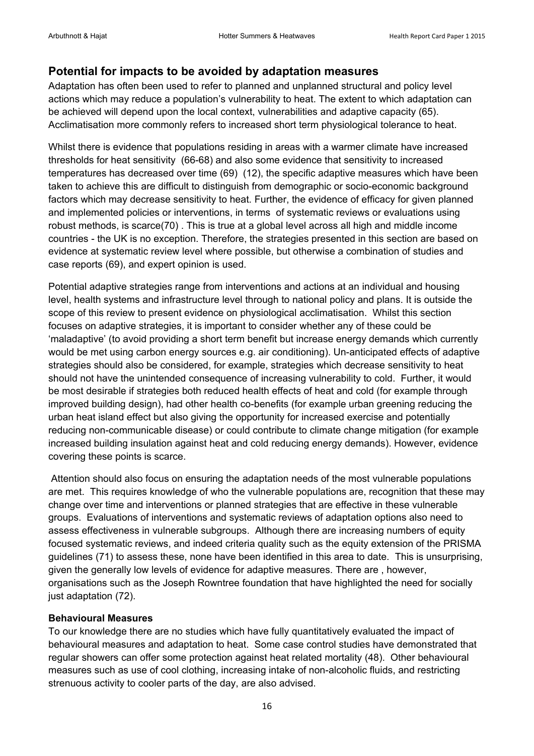## <span id="page-15-0"></span>**Potential for impacts to be avoided by adaptation measures**

Adaptation has often been used to refer to planned and unplanned structural and policy level actions which may reduce a population's vulnerability to heat. The extent to which adaptation can be achieved will depend upon the local context, vulnerabilities and adaptive capacity [\(65\)](#page-20-20). Acclimatisation more commonly refers to increased short term physiological tolerance to heat.

Whilst there is evidence that populations residing in areas with a warmer climate have increased thresholds for heat sensitivity [\(66-68\)](#page-20-21) and also some evidence that sensitivity to increased temperatures has decreased over time [\(69\)](#page-21-0) [\(12\)](#page-18-10), the specific adaptive measures which have been taken to achieve this are difficult to distinguish from demographic or socio-economic background factors which may decrease sensitivity to heat. Further, the evidence of efficacy for given planned and implemented policies or interventions, in terms of systematic reviews or evaluations using robust methods, is scarce[\(70\)](#page-21-1) . This is true at a global level across all high and middle income countries - the UK is no exception. Therefore, the strategies presented in this section are based on evidence at systematic review level where possible, but otherwise a combination of studies and case reports [\(69\)](#page-21-0), and expert opinion is used.

Potential adaptive strategies range from interventions and actions at an individual and housing level, health systems and infrastructure level through to national policy and plans. It is outside the scope of this review to present evidence on physiological acclimatisation. Whilst this section focuses on adaptive strategies, it is important to consider whether any of these could be 'maladaptive' (to avoid providing a short term benefit but increase energy demands which currently would be met using carbon energy sources e.g. air conditioning). Un-anticipated effects of adaptive strategies should also be considered, for example, strategies which decrease sensitivity to heat should not have the unintended consequence of increasing vulnerability to cold. Further, it would be most desirable if strategies both reduced health effects of heat and cold (for example through improved building design), had other health co-benefits (for example urban greening reducing the urban heat island effect but also giving the opportunity for increased exercise and potentially reducing non-communicable disease) or could contribute to climate change mitigation (for example increased building insulation against heat and cold reducing energy demands). However, evidence covering these points is scarce.

Attention should also focus on ensuring the adaptation needs of the most vulnerable populations are met. This requires knowledge of who the vulnerable populations are, recognition that these may change over time and interventions or planned strategies that are effective in these vulnerable groups. Evaluations of interventions and systematic reviews of adaptation options also need to assess effectiveness in vulnerable subgroups. Although there are increasing numbers of equity focused systematic reviews, and indeed criteria quality such as the equity extension of the PRISMA guidelines [\(71\)](#page-21-2) to assess these, none have been identified in this area to date. This is unsurprising, given the generally low levels of evidence for adaptive measures. There are , however, organisations such as the Joseph Rowntree foundation that have highlighted the need for socially just adaptation [\(72\)](#page-21-3).

#### <span id="page-15-1"></span>**Behavioural Measures**

To our knowledge there are no studies which have fully quantitatively evaluated the impact of behavioural measures and adaptation to heat. Some case control studies have demonstrated that regular showers can offer some protection against heat related mortality [\(48\)](#page-20-3). Other behavioural measures such as use of cool clothing, increasing intake of non-alcoholic fluids, and restricting strenuous activity to cooler parts of the day, are also advised.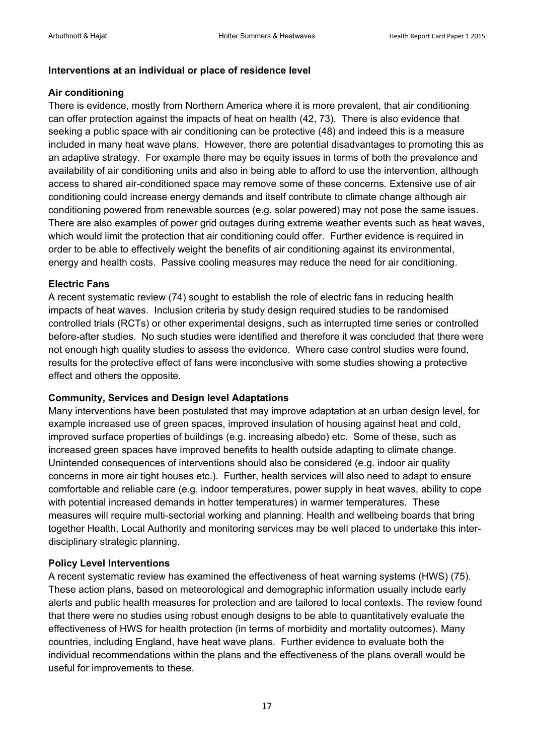#### <span id="page-16-0"></span>**Interventions at an individual or place of residence level**

#### <span id="page-16-1"></span>**Air conditioning**

There is evidence, mostly from Northern America where it is more prevalent, that air conditioning can offer protection against the impacts of heat on health [\(42,](#page-19-20) [73\)](#page-21-4). There is also evidence that seeking a public space with air conditioning can be protective [\(48\)](#page-20-3) and indeed this is a measure included in many heat wave plans. However, there are potential disadvantages to promoting this as an adaptive strategy. For example there may be equity issues in terms of both the prevalence and availability of air conditioning units and also in being able to afford to use the intervention, although access to shared air-conditioned space may remove some of these concerns. Extensive use of air conditioning could increase energy demands and itself contribute to climate change although air conditioning powered from renewable sources (e.g. solar powered) may not pose the same issues. There are also examples of power grid outages during extreme weather events such as heat waves, which would limit the protection that air conditioning could offer. Further evidence is required in order to be able to effectively weight the benefits of air conditioning against its environmental, energy and health costs. Passive cooling measures may reduce the need for air conditioning.

#### <span id="page-16-2"></span>**Electric Fans**

A recent systematic review [\(74\)](#page-21-5) sought to establish the role of electric fans in reducing health impacts of heat waves. Inclusion criteria by study design required studies to be randomised controlled trials (RCTs) or other experimental designs, such as interrupted time series or controlled before-after studies. No such studies were identified and therefore it was concluded that there were not enough high quality studies to assess the evidence. Where case control studies were found, results for the protective effect of fans were inconclusive with some studies showing a protective effect and others the opposite.

#### <span id="page-16-3"></span>**Community, Services and Design level Adaptations**

Many interventions have been postulated that may improve adaptation at an urban design level, for example increased use of green spaces, improved insulation of housing against heat and cold, improved surface properties of buildings (e.g. increasing albedo) etc. Some of these, such as increased green spaces have improved benefits to health outside adapting to climate change. Unintended consequences of interventions should also be considered (e.g. indoor air quality concerns in more air tight houses etc.). Further, health services will also need to adapt to ensure comfortable and reliable care (e.g. indoor temperatures, power supply in heat waves, ability to cope with potential increased demands in hotter temperatures) in warmer temperatures. These measures will require multi-sectorial working and planning. Health and wellbeing boards that bring together Health, Local Authority and monitoring services may be well placed to undertake this interdisciplinary strategic planning.

#### <span id="page-16-4"></span>**Policy Level Interventions**

A recent systematic review has examined the effectiveness of heat warning systems (HWS) [\(75\)](#page-21-6). These action plans, based on meteorological and demographic information usually include early alerts and public health measures for protection and are tailored to local contexts. The review found that there were no studies using robust enough designs to be able to quantitatively evaluate the effectiveness of HWS for health protection (in terms of morbidity and mortality outcomes). Many countries, including England, have heat wave plans. Further evidence to evaluate both the individual recommendations within the plans and the effectiveness of the plans overall would be useful for improvements to these.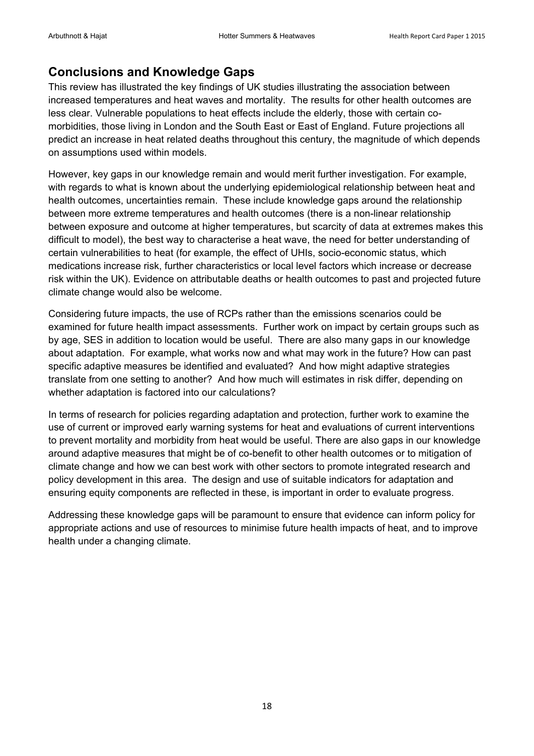# <span id="page-17-0"></span>**Conclusions and Knowledge Gaps**

This review has illustrated the key findings of UK studies illustrating the association between increased temperatures and heat waves and mortality. The results for other health outcomes are less clear. Vulnerable populations to heat effects include the elderly, those with certain comorbidities, those living in London and the South East or East of England. Future projections all predict an increase in heat related deaths throughout this century, the magnitude of which depends on assumptions used within models.

However, key gaps in our knowledge remain and would merit further investigation. For example, with regards to what is known about the underlying epidemiological relationship between heat and health outcomes, uncertainties remain. These include knowledge gaps around the relationship between more extreme temperatures and health outcomes (there is a non-linear relationship between exposure and outcome at higher temperatures, but scarcity of data at extremes makes this difficult to model), the best way to characterise a heat wave, the need for better understanding of certain vulnerabilities to heat (for example, the effect of UHIs, socio-economic status, which medications increase risk, further characteristics or local level factors which increase or decrease risk within the UK). Evidence on attributable deaths or health outcomes to past and projected future climate change would also be welcome.

Considering future impacts, the use of RCPs rather than the emissions scenarios could be examined for future health impact assessments. Further work on impact by certain groups such as by age, SES in addition to location would be useful. There are also many gaps in our knowledge about adaptation. For example, what works now and what may work in the future? How can past specific adaptive measures be identified and evaluated? And how might adaptive strategies translate from one setting to another? And how much will estimates in risk differ, depending on whether adaptation is factored into our calculations?

In terms of research for policies regarding adaptation and protection, further work to examine the use of current or improved early warning systems for heat and evaluations of current interventions to prevent mortality and morbidity from heat would be useful. There are also gaps in our knowledge around adaptive measures that might be of co-benefit to other health outcomes or to mitigation of climate change and how we can best work with other sectors to promote integrated research and policy development in this area. The design and use of suitable indicators for adaptation and ensuring equity components are reflected in these, is important in order to evaluate progress.

Addressing these knowledge gaps will be paramount to ensure that evidence can inform policy for appropriate actions and use of resources to minimise future health impacts of heat, and to improve health under a changing climate.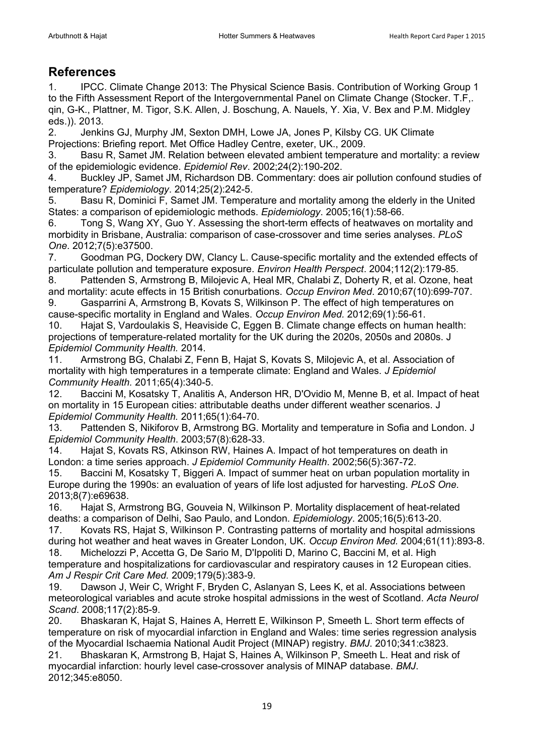# <span id="page-18-0"></span>**References**

<span id="page-18-1"></span>1. IPCC. Climate Change 2013: The Physical Science Basis. Contribution of Working Group 1 to the Fifth Assessment Report of the Intergovernmental Panel on Climate Change (Stocker. T.F,. qin, G-K., Plattner, M. Tigor, S.K. Allen, J. Boschung, A. Nauels, Y. Xia, V. Bex and P.M. Midgley eds.)). 2013.

<span id="page-18-2"></span>2. Jenkins GJ, Murphy JM, Sexton DMH, Lowe JA, Jones P, Kilsby CG. UK Climate Projections: Briefing report. Met Office Hadley Centre, exeter, UK., 2009.

<span id="page-18-3"></span>3. Basu R, Samet JM. Relation between elevated ambient temperature and mortality: a review of the epidemiologic evidence. *Epidemiol Rev*. 2002;24(2):190-202.

<span id="page-18-4"></span>4. Buckley JP, Samet JM, Richardson DB. Commentary: does air pollution confound studies of temperature? *Epidemiology*. 2014;25(2):242-5.

<span id="page-18-5"></span>5. Basu R, Dominici F, Samet JM. Temperature and mortality among the elderly in the United States: a comparison of epidemiologic methods. *Epidemiology*. 2005;16(1):58-66.

<span id="page-18-6"></span>6. Tong S, Wang XY, Guo Y. Assessing the short-term effects of heatwaves on mortality and morbidity in Brisbane, Australia: comparison of case-crossover and time series analyses. *PLoS One*. 2012;7(5):e37500.

<span id="page-18-7"></span>7. Goodman PG, Dockery DW, Clancy L. Cause-specific mortality and the extended effects of particulate pollution and temperature exposure. *Environ Health Perspect*. 2004;112(2):179-85.

8. Pattenden S, Armstrong B, Milojevic A, Heal MR, Chalabi Z, Doherty R, et al. Ozone, heat and mortality: acute effects in 15 British conurbations. *Occup Environ Med*. 2010;67(10):699-707.

<span id="page-18-8"></span>9. Gasparrini A, Armstrong B, Kovats S, Wilkinson P. The effect of high temperatures on cause-specific mortality in England and Wales. *Occup Environ Med.* 2012;69(1):56-61.

<span id="page-18-18"></span>10. Hajat S, Vardoulakis S, Heaviside C, Eggen B. Climate change effects on human health: projections of temperature-related mortality for the UK during the 2020s, 2050s and 2080s. J *Epidemiol Community Health.* 2014.

<span id="page-18-17"></span>11. Armstrong BG, Chalabi Z, Fenn B, Hajat S, Kovats S, Milojevic A, et al. Association of mortality with high temperatures in a temperate climate: England and Wales. *J Epidemiol Community Health.* 2011;65(4):340-5.

<span id="page-18-10"></span>12. Baccini M, Kosatsky T, Analitis A, Anderson HR, D'Ovidio M, Menne B, et al. Impact of heat on mortality in 15 European cities: attributable deaths under different weather scenarios. J *Epidemiol Community Health.* 2011;65(1):64-70.

13. Pattenden S, Nikiforov B, Armstrong BG. Mortality and temperature in Sofia and London. J *Epidemiol Community Health*. 2003;57(8):628-33.

14. Hajat S, Kovats RS, Atkinson RW, Haines A. Impact of hot temperatures on death in London: a time series approach. *J Epidemiol Community Health*. 2002;56(5):367-72.

<span id="page-18-9"></span>15. Baccini M, Kosatsky T, Biggeri A. Impact of summer heat on urban population mortality in Europe during the 1990s: an evaluation of years of life lost adjusted for harvesting. *PLoS One.* 2013;8(7):e69638.

<span id="page-18-11"></span>16. Hajat S, Armstrong BG, Gouveia N, Wilkinson P. Mortality displacement of heat-related deaths: a comparison of Delhi, Sao Paulo, and London. *Epidemiology*. 2005;16(5):613-20.

<span id="page-18-12"></span>17. Kovats RS, Hajat S, Wilkinson P. Contrasting patterns of mortality and hospital admissions during hot weather and heat waves in Greater London, UK. *Occup Environ Med.* 2004;61(11):893-8.

<span id="page-18-13"></span>18. Michelozzi P, Accetta G, De Sario M, D'Ippoliti D, Marino C, Baccini M, et al. High temperature and hospitalizations for cardiovascular and respiratory causes in 12 European cities. *Am J Respir Crit Care Med.* 2009;179(5):383-9.

<span id="page-18-14"></span>19. Dawson J, Weir C, Wright F, Bryden C, Aslanyan S, Lees K, et al. Associations between meteorological variables and acute stroke hospital admissions in the west of Scotland. *Acta Neurol Scand*. 2008;117(2):85-9.

<span id="page-18-15"></span>20. Bhaskaran K, Hajat S, Haines A, Herrett E, Wilkinson P, Smeeth L. Short term effects of temperature on risk of myocardial infarction in England and Wales: time series regression analysis of the Myocardial Ischaemia National Audit Project (MINAP) registry. *BMJ*. 2010;341:c3823.

<span id="page-18-16"></span>21. Bhaskaran K, Armstrong B, Hajat S, Haines A, Wilkinson P, Smeeth L. Heat and risk of myocardial infarction: hourly level case-crossover analysis of MINAP database. *BMJ*. 2012;345:e8050.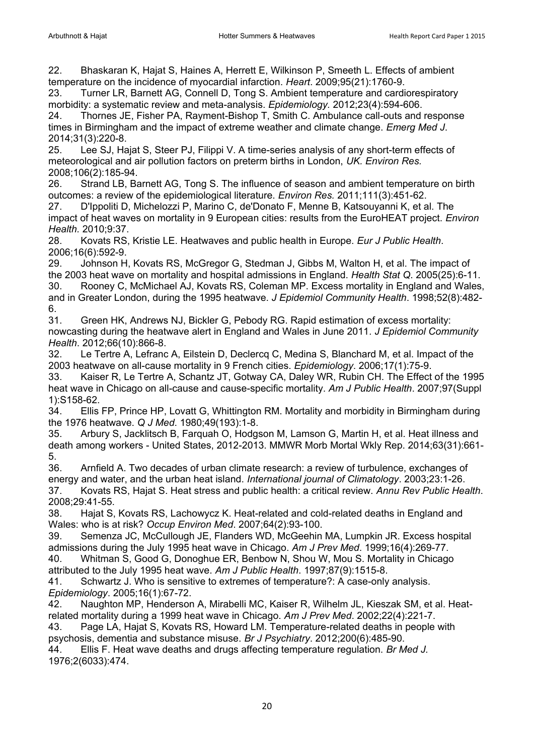<span id="page-19-0"></span>22. Bhaskaran K, Hajat S, Haines A, Herrett E, Wilkinson P, Smeeth L. Effects of ambient temperature on the incidence of myocardial infarction. *Heart*. 2009;95(21):1760-9.

<span id="page-19-1"></span>23. Turner LR, Barnett AG, Connell D, Tong S. Ambient temperature and cardiorespiratory morbidity: a systematic review and meta-analysis. *Epidemiology.* 2012;23(4):594-606.

<span id="page-19-2"></span>24. Thornes JE, Fisher PA, Rayment-Bishop T, Smith C. Ambulance call-outs and response times in Birmingham and the impact of extreme weather and climate change. *Emerg Med J*. 2014;31(3):220-8.

<span id="page-19-3"></span>25. Lee SJ, Hajat S, Steer PJ, Filippi V. A time-series analysis of any short-term effects of meteorological and air pollution factors on preterm births in London, *UK. Environ Res.* 2008;106(2):185-94.

<span id="page-19-4"></span>26. Strand LB, Barnett AG, Tong S. The influence of season and ambient temperature on birth outcomes: a review of the epidemiological literature. *Environ Res.* 2011;111(3):451-62.

<span id="page-19-5"></span>27. D'Ippoliti D, Michelozzi P, Marino C, de'Donato F, Menne B, Katsouyanni K, et al. The impact of heat waves on mortality in 9 European cities: results from the EuroHEAT project. *Environ Health.* 2010;9:37.

<span id="page-19-6"></span>28. Kovats RS, Kristie LE. Heatwaves and public health in Europe. *Eur J Public Health*. 2006;16(6):592-9.

<span id="page-19-7"></span>29. Johnson H, Kovats RS, McGregor G, Stedman J, Gibbs M, Walton H, et al. The impact of the 2003 heat wave on mortality and hospital admissions in England. *Health Stat Q*. 2005(25):6-11. 30. Rooney C, McMichael AJ, Kovats RS, Coleman MP. Excess mortality in England and Wales,

<span id="page-19-8"></span>and in Greater London, during the 1995 heatwave. *J Epidemiol Community Health*. 1998;52(8):482- 6.

<span id="page-19-9"></span>31. Green HK, Andrews NJ, Bickler G, Pebody RG. Rapid estimation of excess mortality: nowcasting during the heatwave alert in England and Wales in June 2011*. J Epidemiol Community Health*. 2012;66(10):866-8.

<span id="page-19-10"></span>32. Le Tertre A, Lefranc A, Eilstein D, Declercq C, Medina S, Blanchard M, et al. Impact of the 2003 heatwave on all-cause mortality in 9 French cities. *Epidemiology*. 2006;17(1):75-9.

<span id="page-19-11"></span>33. Kaiser R, Le Tertre A, Schantz JT, Gotway CA, Daley WR, Rubin CH. The Effect of the 1995 heat wave in Chicago on all-cause and cause-specific mortality. *Am J Public Health*. 2007;97(Suppl 1):S158-62.

<span id="page-19-12"></span>34. Ellis FP, Prince HP, Lovatt G, Whittington RM. Mortality and morbidity in Birmingham during the 1976 heatwave. *Q J Med*. 1980;49(193):1-8.

<span id="page-19-13"></span>35. Arbury S, Jacklitsch B, Farquah O, Hodgson M, Lamson G, Martin H, et al. Heat illness and death among workers - United States, 2012-2013. MMWR Morb Mortal Wkly Rep. 2014;63(31):661- 5.

<span id="page-19-14"></span>36. Arnfield A. Two decades of urban climate research: a review of turbulence, exchanges of energy and water, and the urban heat island. *International journal of Climatology*. 2003;23:1-26. 37. Kovats RS, Hajat S. Heat stress and public health: a critical review. *Annu Rev Public Health*. 2008;29:41-55.

<span id="page-19-16"></span><span id="page-19-15"></span>38. Hajat S, Kovats RS, Lachowycz K. Heat-related and cold-related deaths in England and Wales: who is at risk? *Occup Environ Med*. 2007;64(2):93-100.

<span id="page-19-17"></span>39. Semenza JC, McCullough JE, Flanders WD, McGeehin MA, Lumpkin JR. Excess hospital admissions during the July 1995 heat wave in Chicago. *Am J Prev Med*. 1999;16(4):269-77.

<span id="page-19-18"></span>40. Whitman S, Good G, Donoghue ER, Benbow N, Shou W, Mou S. Mortality in Chicago attributed to the July 1995 heat wave. *Am J Public Health*. 1997;87(9):1515-8.

<span id="page-19-19"></span>41. Schwartz J. Who is sensitive to extremes of temperature?: A case-only analysis. *Epidemiology*. 2005;16(1):67-72.

<span id="page-19-20"></span>42. Naughton MP, Henderson A, Mirabelli MC, Kaiser R, Wilhelm JL, Kieszak SM, et al. Heatrelated mortality during a 1999 heat wave in Chicago. *Am J Prev Med*. 2002;22(4):221-7.

<span id="page-19-21"></span>43. Page LA, Hajat S, Kovats RS, Howard LM. Temperature-related deaths in people with psychosis, dementia and substance misuse. *Br J Psychiatry*. 2012;200(6):485-90.

<span id="page-19-22"></span>44. Ellis F. Heat wave deaths and drugs affecting temperature regulation. *Br Med J.*  1976;2(6033):474.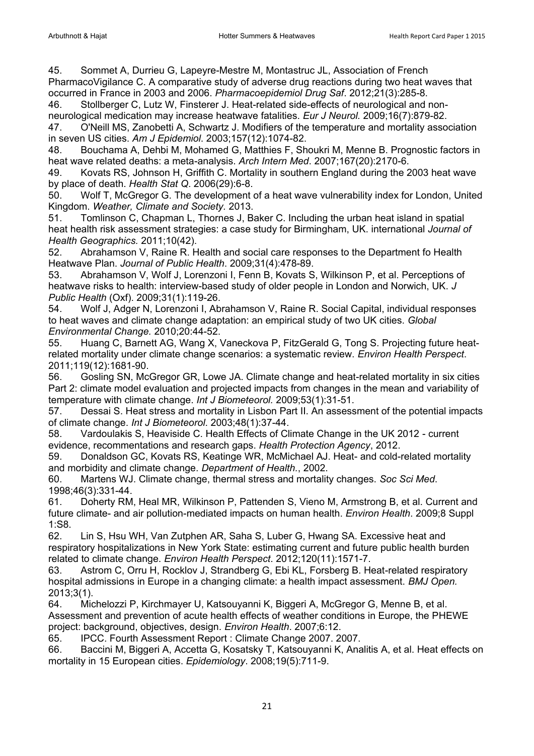<span id="page-20-0"></span>45. Sommet A, Durrieu G, Lapeyre-Mestre M, Montastruc JL, Association of French PharmacoVigilance C. A comparative study of adverse drug reactions during two heat waves that occurred in France in 2003 and 2006. *Pharmacoepidemiol Drug Saf*. 2012;21(3):285-8.

<span id="page-20-1"></span>46. Stollberger C, Lutz W, Finsterer J. Heat-related side-effects of neurological and nonneurological medication may increase heatwave fatalities. *Eur J Neurol.* 2009;16(7):879-82.

<span id="page-20-2"></span>47. O'Neill MS, Zanobetti A, Schwartz J. Modifiers of the temperature and mortality association in seven US cities. *Am J Epidemiol*. 2003;157(12):1074-82.

<span id="page-20-3"></span>48. Bouchama A, Dehbi M, Mohamed G, Matthies F, Shoukri M, Menne B. Prognostic factors in heat wave related deaths: a meta-analysis. *Arch Intern Med*. 2007;167(20):2170-6.

<span id="page-20-4"></span>49. Kovats RS, Johnson H, Griffith C. Mortality in southern England during the 2003 heat wave by place of death. *Health Stat Q*. 2006(29):6-8.

<span id="page-20-5"></span>50. Wolf T, McGregor G. The development of a heat wave vulnerability index for London, United Kingdom. *Weather, Climate and Society.* 2013.

<span id="page-20-6"></span>51. Tomlinson C, Chapman L, Thornes J, Baker C. Including the urban heat island in spatial heat health risk assessment strategies: a case study for Birmingham, UK. international *Journal of Health Geographics.* 2011;10(42).

<span id="page-20-7"></span>52. Abrahamson V, Raine R. Health and social care responses to the Department fo Health Heatwave Plan. *Journal of Public Health*. 2009;31(4):478-89.

<span id="page-20-8"></span>53. Abrahamson V, Wolf J, Lorenzoni I, Fenn B, Kovats S, Wilkinson P, et al. Perceptions of heatwave risks to health: interview-based study of older people in London and Norwich, UK. *J Public Health* (Oxf). 2009;31(1):119-26.

<span id="page-20-9"></span>54. Wolf J, Adger N, Lorenzoni I, Abrahamson V, Raine R. Social Capital, individual responses to heat waves and climate change adaptation: an empirical study of two UK cities. *Global Environmental Change.* 2010;20:44-52.

<span id="page-20-10"></span>55. Huang C, Barnett AG, Wang X, Vaneckova P, FitzGerald G, Tong S. Projecting future heatrelated mortality under climate change scenarios: a systematic review. *Environ Health Perspect*. 2011;119(12):1681-90.

<span id="page-20-11"></span>56. Gosling SN, McGregor GR, Lowe JA. Climate change and heat-related mortality in six cities Part 2: climate model evaluation and projected impacts from changes in the mean and variability of temperature with climate change. *Int J Biometeorol.* 2009;53(1):31-51.

<span id="page-20-12"></span>57. Dessai S. Heat stress and mortality in Lisbon Part II. An assessment of the potential impacts of climate change. *Int J Biometeorol*. 2003;48(1):37-44.

<span id="page-20-13"></span>58. Vardoulakis S, Heaviside C. Health Effects of Climate Change in the UK 2012 - current evidence, recommentations and research gaps. *Health Protection Agency*, 2012.

<span id="page-20-14"></span>59. Donaldson GC, Kovats RS, Keatinge WR, McMichael AJ. Heat- and cold-related mortality and morbidity and climate change. *Department of Health.*, 2002.

<span id="page-20-15"></span>60. Martens WJ. Climate change, thermal stress and mortality changes. *Soc Sci Med*. 1998;46(3):331-44.

<span id="page-20-16"></span>61. Doherty RM, Heal MR, Wilkinson P, Pattenden S, Vieno M, Armstrong B, et al. Current and future climate- and air pollution-mediated impacts on human health. *Environ Health*. 2009;8 Suppl 1:S8.

<span id="page-20-17"></span>62. Lin S, Hsu WH, Van Zutphen AR, Saha S, Luber G, Hwang SA. Excessive heat and respiratory hospitalizations in New York State: estimating current and future public health burden related to climate change. *Environ Health Perspect*. 2012;120(11):1571-7.

<span id="page-20-18"></span>63. Astrom C, Orru H, Rocklov J, Strandberg G, Ebi KL, Forsberg B. Heat-related respiratory hospital admissions in Europe in a changing climate: a health impact assessment. *BMJ Open.*  2013;3(1).

<span id="page-20-19"></span>64. Michelozzi P, Kirchmayer U, Katsouyanni K, Biggeri A, McGregor G, Menne B, et al. Assessment and prevention of acute health effects of weather conditions in Europe, the PHEWE project: background, objectives, design. *Environ Health*. 2007;6:12.

<span id="page-20-20"></span>65. IPCC. Fourth Assessment Report : Climate Change 2007. 2007.

<span id="page-20-21"></span>66. Baccini M, Biggeri A, Accetta G, Kosatsky T, Katsouyanni K, Analitis A, et al. Heat effects on mortality in 15 European cities. *Epidemiology*. 2008;19(5):711-9.